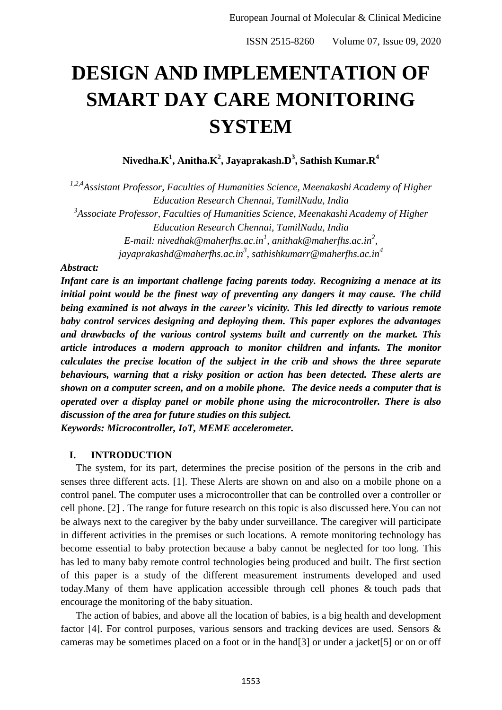# **DESIGN AND IMPLEMENTATION OF SMART DAY CARE MONITORING SYSTEM**

**Nivedha.K<sup>1</sup> , Anitha.K<sup>2</sup> , Jayaprakash.D<sup>3</sup> , Sathish Kumar.R<sup>4</sup>**

*1,2,4Assistant Professor, Faculties of Humanities Science, Meenakashi Academy of Higher Education Research Chennai, TamilNadu, India 3 Associate Professor, Faculties of Humanities Science, Meenakashi Academy of Higher Education Research Chennai, TamilNadu, India E-mail: nivedhak@maherfhs.ac.in<sup>1</sup> , anithak@maherfhs.ac.in<sup>2</sup> , jayaprakashd@maherfhs.ac.in<sup>3</sup> , sathishkumarr@maherfhs.ac.in<sup>4</sup>*

#### *Abstract:*

*Infant care is an important challenge facing parents today. Recognizing a menace at its initial point would be the finest way of preventing any dangers it may cause. The child being examined is not always in the career's vicinity. This led directly to various remote baby control services designing and deploying them. This paper explores the advantages and drawbacks of the various control systems built and currently on the market. This article introduces a modern approach to monitor children and infants. The monitor calculates the precise location of the subject in the crib and shows the three separate behaviours, warning that a risky position or action has been detected. These alerts are shown on a computer screen, and on a mobile phone. The device needs a computer that is operated over a display panel or mobile phone using the microcontroller. There is also discussion of the area for future studies on this subject.*

*Keywords: Microcontroller, IoT, MEME accelerometer.*

#### **I. INTRODUCTION**

The system, for its part, determines the precise position of the persons in the crib and senses three different acts. [1]. These Alerts are shown on and also on a mobile phone on a control panel. The computer uses a microcontroller that can be controlled over a controller or cell phone. [2] . The range for future research on this topic is also discussed here.You can not be always next to the caregiver by the baby under surveillance. The caregiver will participate in different activities in the premises or such locations. A remote monitoring technology has become essential to baby protection because a baby cannot be neglected for too long. This has led to many baby remote control technologies being produced and built. The first section of this paper is a study of the different measurement instruments developed and used today.Many of them have application accessible through cell phones & touch pads that encourage the monitoring of the baby situation.

The action of babies, and above all the location of babies, is a big health and development factor [4]. For control purposes, various sensors and tracking devices are used. Sensors & cameras may be sometimes placed on a foot or in the hand[3] or under a jacket[5] or on or off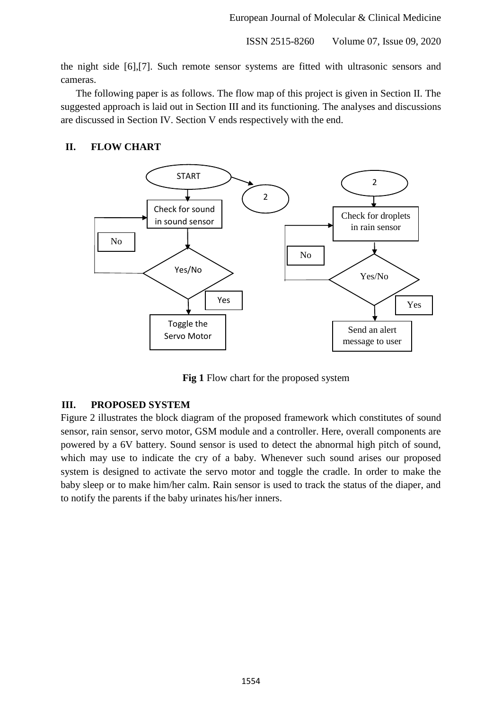ISSN 2515-8260 Volume 07, Issue 09, 2020

the night side [6],[7]. Such remote sensor systems are fitted with ultrasonic sensors and cameras.

The following paper is as follows. The flow map of this project is given in Section II. The suggested approach is laid out in Section III and its functioning. The analyses and discussions are discussed in Section IV. Section V ends respectively with the end.

## **II. FLOW CHART**



**Fig 1** Flow chart for the proposed system

### **III. PROPOSED SYSTEM**

Figure 2 illustrates the block diagram of the proposed framework which constitutes of sound sensor, rain sensor, servo motor, GSM module and a controller. Here, overall components are powered by a 6V battery. Sound sensor is used to detect the abnormal high pitch of sound, which may use to indicate the cry of a baby. Whenever such sound arises our proposed system is designed to activate the servo motor and toggle the cradle. In order to make the baby sleep or to make him/her calm. Rain sensor is used to track the status of the diaper, and to notify the parents if the baby urinates his/her inners.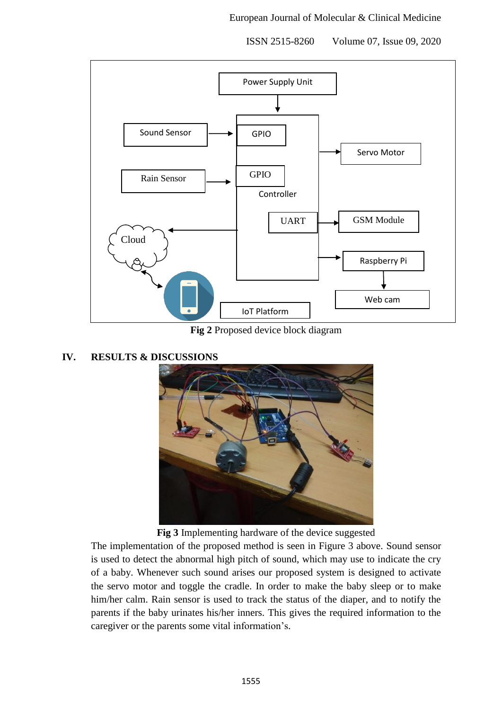ISSN 2515-8260 Volume 07, Issue 09, 2020



**Fig 2** Proposed device block diagram

### **IV. RESULTS & DISCUSSIONS**



**Fig 3** Implementing hardware of the device suggested

The implementation of the proposed method is seen in Figure 3 above. Sound sensor is used to detect the abnormal high pitch of sound, which may use to indicate the cry of a baby. Whenever such sound arises our proposed system is designed to activate the servo motor and toggle the cradle. In order to make the baby sleep or to make him/her calm. Rain sensor is used to track the status of the diaper, and to notify the parents if the baby urinates his/her inners. This gives the required information to the caregiver or the parents some vital information's.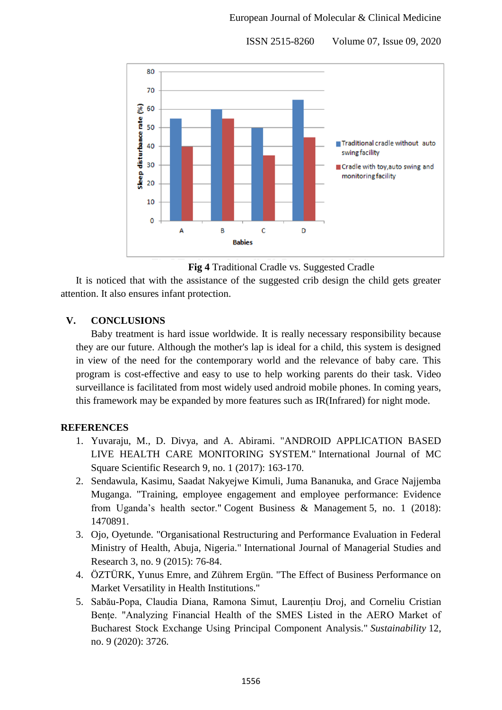80 70 Seep disturbance rate (%) 60 50 Traditional cradle without auto 40 swing facility 30 Cradle with toy, auto swing and monitoring facility 20 10  $\Omega$  $\overline{c}$ A B D **Babies** 

ISSN 2515-8260 Volume 07, Issue 09, 2020

**Fig 4** Traditional Cradle vs. Suggested Cradle

It is noticed that with the assistance of the suggested crib design the child gets greater attention. It also ensures infant protection.

### **V. CONCLUSIONS**

Baby treatment is hard issue worldwide. It is really necessary responsibility because they are our future. Although the mother's lap is ideal for a child, this system is designed in view of the need for the contemporary world and the relevance of baby care. This program is cost-effective and easy to use to help working parents do their task. Video surveillance is facilitated from most widely used android mobile phones. In coming years, this framework may be expanded by more features such as IR(Infrared) for night mode.

### **REFERENCES**

- 1. Yuvaraju, M., D. Divya, and A. Abirami. "ANDROID APPLICATION BASED LIVE HEALTH CARE MONITORING SYSTEM." International Journal of MC Square Scientific Research 9, no. 1 (2017): 163-170.
- 2. Sendawula, Kasimu, Saadat Nakyejwe Kimuli, Juma Bananuka, and Grace Najjemba Muganga. "Training, employee engagement and employee performance: Evidence from Uganda's health sector." Cogent Business & Management 5, no. 1 (2018): 1470891.
- 3. Ojo, Oyetunde. "Organisational Restructuring and Performance Evaluation in Federal Ministry of Health, Abuja, Nigeria." International Journal of Managerial Studies and Research 3, no. 9 (2015): 76-84.
- 4. ÖZTÜRK, Yunus Emre, and Zührem Ergün. "The Effect of Business Performance on Market Versatility in Health Institutions."
- 5. Sabău-Popa, Claudia Diana, Ramona Simut, Laurențiu Droj, and Corneliu Cristian Bențe. "Analyzing Financial Health of the SMES Listed in the AERO Market of Bucharest Stock Exchange Using Principal Component Analysis." *Sustainability* 12, no. 9 (2020): 3726.